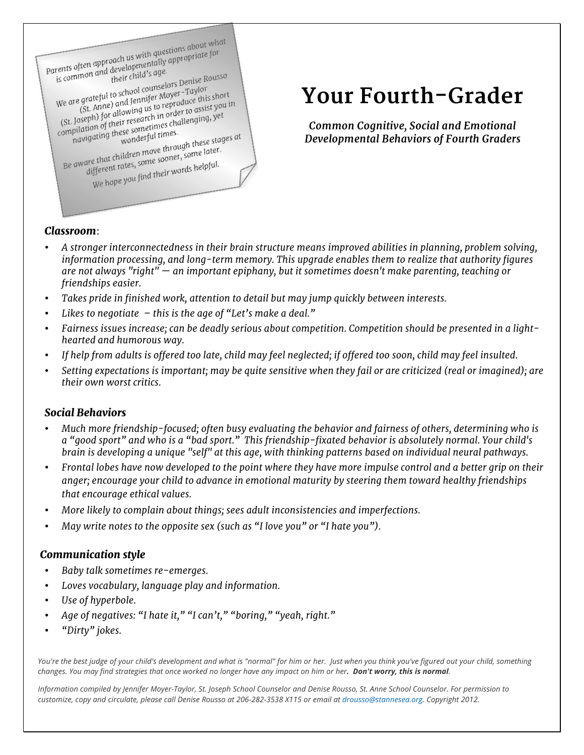

# **Your Fourth-Grader**

*Common Cognitive, Social and Emotional Developmental Behaviors of Fourth Graders*

### *Classroom*:

- *A stronger interconnectedness in their brain structure means improved abilities in planning, problem solving, information processing, and long-term memory. This upgrade enables them to realize that authority figures are not always "right" — an important epiphany, but it sometimes doesn't make parenting, teaching or friendships easier.*
- *Takes pride in finished work, attention to detail but may jump quickly between interests.*
- *Likes to negotiate – this is the age of "Let's make a deal."*
- *Fairness issues increase; can be deadly serious about competition. Competition should be presented in a lighthearted and humorous way.*
- *If help from adults is offered too late, child may feel neglected; if offered too soon, child may feel insulted.*
- *Setting expectations is important; may be quite sensitive when they fail or are criticized (real or imagined); are their own worst critics.*

### *Social Behaviors*

- *Much more friendship-focused; often busy evaluating the behavior and fairness of others, determining who is a "good sport" and who is a "bad sport." This friendship-fixated behavior is absolutely normal. Your child's brain is developing a unique "self" at this age, with thinking patterns based on individual neural pathways.*
- *Frontal lobes have now developed to the point where they have more impulse control and a better grip on their anger; encourage your child to advance in emotional maturity by steering them toward healthy friendships that encourage ethical values.*
- *More likely to complain about things; sees adult inconsistencies and imperfections.*
- *May write notes to the opposite sex (such as "I love you" or "I hate you").*

### *Communication style*

- *Baby talk sometimes re-emerges.*
- *Loves vocabulary, language play and information.*
- *Use of hyperbole.*
- *Age of negatives: "I hate it," "I can't," "boring," "yeah, right."*
- *"Dirty" jokes.*

*You're the best judge of your child's development and what is "normal" for him or her. Just when you think you've figured out your child, something changes. You may find strategies that once worked no longer have any impact on him or her. Don't worry, this is normal.* 

*Information compiled by Jennifer Moyer-Taylor, St. Joseph School Counselor and Denise Rousso, St. Anne School Counselor. For permission to customize, copy and circulate, please call Denise Rousso at 206-282-3538 X115 or email at drousso@stannesea.org. Copyright 2012.*